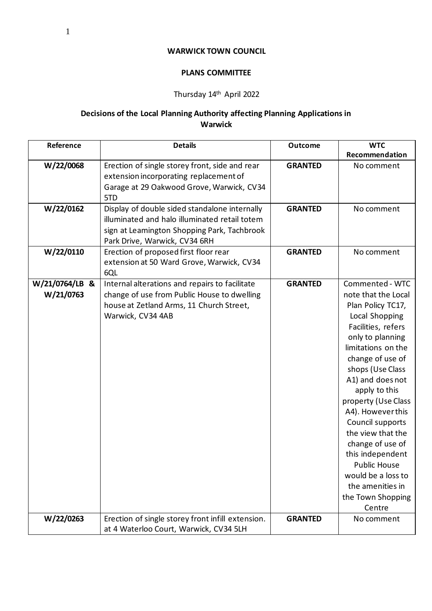## **WARWICK TOWN COUNCIL**

## **PLANS COMMITTEE**

## Thursday 14th April 2022

## **Decisions of the Local Planning Authority affecting Planning Applications in Warwick**

| Reference                   | <b>Details</b>                                                                                                                                                                 | <b>Outcome</b> | <b>WTC</b>                                                                                                                                                                                                                                                                                                                                                                                                                                              |
|-----------------------------|--------------------------------------------------------------------------------------------------------------------------------------------------------------------------------|----------------|---------------------------------------------------------------------------------------------------------------------------------------------------------------------------------------------------------------------------------------------------------------------------------------------------------------------------------------------------------------------------------------------------------------------------------------------------------|
|                             |                                                                                                                                                                                |                | Recommendation                                                                                                                                                                                                                                                                                                                                                                                                                                          |
| W/22/0068                   | Erection of single storey front, side and rear<br>extension incorporating replacement of<br>Garage at 29 Oakwood Grove, Warwick, CV34<br>5TD                                   | <b>GRANTED</b> | No comment                                                                                                                                                                                                                                                                                                                                                                                                                                              |
| W/22/0162                   | Display of double sided standalone internally<br>illuminated and halo illuminated retail totem<br>sign at Leamington Shopping Park, Tachbrook<br>Park Drive, Warwick, CV34 6RH | <b>GRANTED</b> | No comment                                                                                                                                                                                                                                                                                                                                                                                                                                              |
| W/22/0110                   | Erection of proposed first floor rear<br>extension at 50 Ward Grove, Warwick, CV34<br>6QL                                                                                      | <b>GRANTED</b> | No comment                                                                                                                                                                                                                                                                                                                                                                                                                                              |
| W/21/0764/LB &<br>W/21/0763 | Internal alterations and repairs to facilitate<br>change of use from Public House to dwelling<br>house at Zetland Arms, 11 Church Street,<br>Warwick, CV34 4AB                 | <b>GRANTED</b> | Commented - WTC<br>note that the Local<br>Plan Policy TC17,<br>Local Shopping<br>Facilities, refers<br>only to planning<br>limitations on the<br>change of use of<br>shops (Use Class<br>A1) and does not<br>apply to this<br>property (Use Class<br>A4). However this<br>Council supports<br>the view that the<br>change of use of<br>this independent<br><b>Public House</b><br>would be a loss to<br>the amenities in<br>the Town Shopping<br>Centre |
| W/22/0263                   | Erection of single storey front infill extension.                                                                                                                              | <b>GRANTED</b> | No comment                                                                                                                                                                                                                                                                                                                                                                                                                                              |
|                             | at 4 Waterloo Court, Warwick, CV34 5LH                                                                                                                                         |                |                                                                                                                                                                                                                                                                                                                                                                                                                                                         |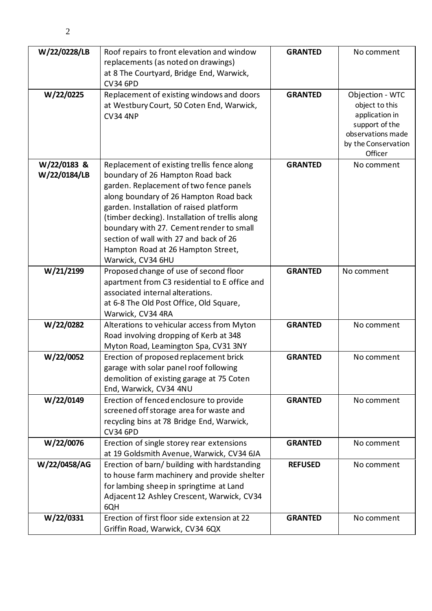| W/22/0228/LB | Roof repairs to front elevation and window                                              | <b>GRANTED</b> | No comment                        |
|--------------|-----------------------------------------------------------------------------------------|----------------|-----------------------------------|
|              | replacements (as noted on drawings)                                                     |                |                                   |
|              | at 8 The Courtyard, Bridge End, Warwick,                                                |                |                                   |
|              | <b>CV34 6PD</b>                                                                         |                |                                   |
| W/22/0225    | Replacement of existing windows and doors<br>at Westbury Court, 50 Coten End, Warwick,  | <b>GRANTED</b> | Objection - WTC<br>object to this |
|              | <b>CV34 4NP</b>                                                                         |                | application in                    |
|              |                                                                                         |                | support of the                    |
|              |                                                                                         |                | observations made                 |
|              |                                                                                         |                | by the Conservation<br>Officer    |
| W/22/0183 &  | Replacement of existing trellis fence along                                             | <b>GRANTED</b> | No comment                        |
| W/22/0184/LB | boundary of 26 Hampton Road back                                                        |                |                                   |
|              | garden. Replacement of two fence panels                                                 |                |                                   |
|              | along boundary of 26 Hampton Road back                                                  |                |                                   |
|              | garden. Installation of raised platform                                                 |                |                                   |
|              | (timber decking). Installation of trellis along                                         |                |                                   |
|              | boundary with 27. Cement render to small                                                |                |                                   |
|              | section of wall with 27 and back of 26                                                  |                |                                   |
|              | Hampton Road at 26 Hampton Street,                                                      |                |                                   |
| W/21/2199    | Warwick, CV34 6HU                                                                       | <b>GRANTED</b> | No comment                        |
|              | Proposed change of use of second floor<br>apartment from C3 residential to E office and |                |                                   |
|              | associated internal alterations.                                                        |                |                                   |
|              | at 6-8 The Old Post Office, Old Square,                                                 |                |                                   |
|              | Warwick, CV34 4RA                                                                       |                |                                   |
| W/22/0282    | Alterations to vehicular access from Myton                                              | <b>GRANTED</b> | No comment                        |
|              | Road involving dropping of Kerb at 348                                                  |                |                                   |
|              | Myton Road, Leamington Spa, CV31 3NY                                                    |                |                                   |
| W/22/0052    | Erection of proposed replacement brick                                                  | <b>GRANTED</b> | No comment                        |
|              | garage with solar panel roof following                                                  |                |                                   |
|              | demolition of existing garage at 75 Coten                                               |                |                                   |
| W/22/0149    | End, Warwick, CV34 4NU<br>Erection of fenced enclosure to provide                       | <b>GRANTED</b> | No comment                        |
|              | screened off storage area for waste and                                                 |                |                                   |
|              | recycling bins at 78 Bridge End, Warwick,                                               |                |                                   |
|              | <b>CV34 6PD</b>                                                                         |                |                                   |
| W/22/0076    | Erection of single storey rear extensions                                               | <b>GRANTED</b> | No comment                        |
|              | at 19 Goldsmith Avenue, Warwick, CV34 6JA                                               |                |                                   |
| W/22/0458/AG | Erection of barn/ building with hardstanding                                            | <b>REFUSED</b> | No comment                        |
|              | to house farm machinery and provide shelter                                             |                |                                   |
|              | for lambing sheep in springtime at Land                                                 |                |                                   |
|              | Adjacent 12 Ashley Crescent, Warwick, CV34                                              |                |                                   |
|              | 6QH<br>Erection of first floor side extension at 22                                     |                |                                   |
| W/22/0331    | Griffin Road, Warwick, CV34 6QX                                                         | <b>GRANTED</b> | No comment                        |
|              |                                                                                         |                |                                   |